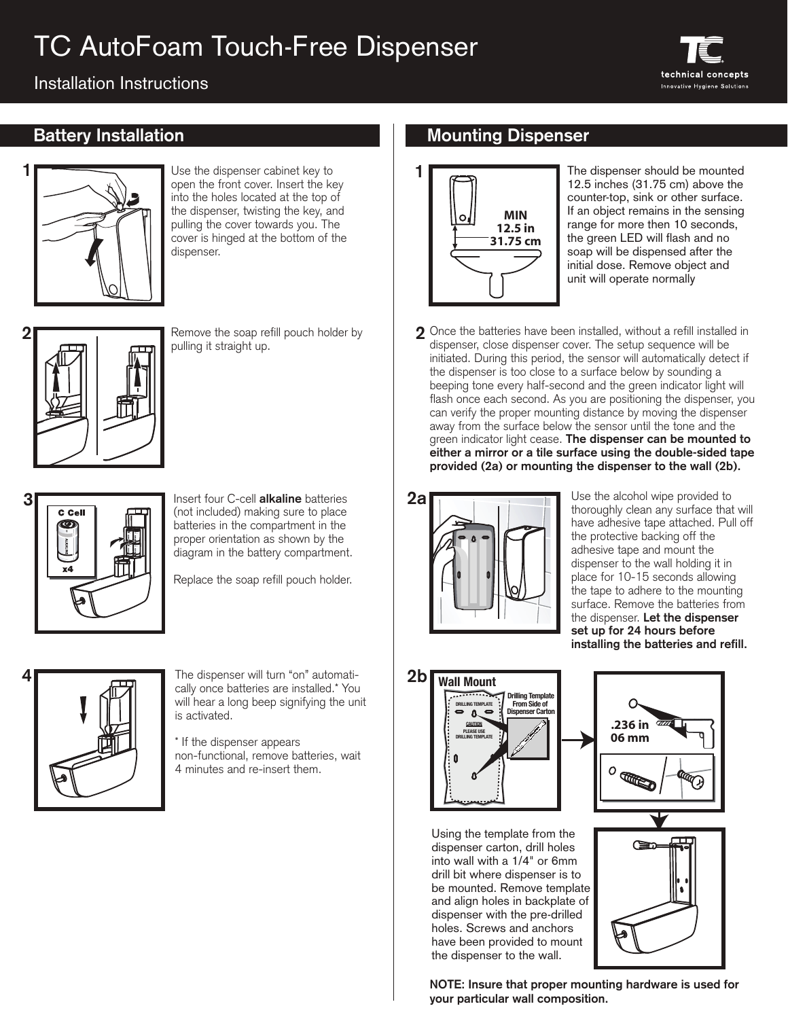# TC AutoFoam Touch-Free Dispenser

### Installation Instructions



**1**

Use the dispenser cabinet key to open the front cover. Insert the key into the holes located at the top of the dispenser, twisting the key, and pulling the cover towards you. The cover is hinged at the bottom of the dispenser.



Remove the soap refill pouch holder by pulling it straight up.



Insert four C-cell **alkaline** batteries (not included) making sure to place batteries in the compartment in the proper orientation as shown by the diagram in the battery compartment.

Replace the soap refill pouch holder.



The dispenser will turn "on" automatically once batteries are installed.\* You will hear a long beep signifying the unit is activated.

\* If the dispenser appears non-functional, remove batteries, wait 4 minutes and re-insert them.

### **Battery Installation Mounting Dispenser**



The dispenser should be mounted 12.5 inches (31.75 cm) above the counter-top, sink or other surface. If an object remains in the sensing range for more then 10 seconds, the green LED will flash and no soap will be dispensed after the initial dose. Remove object and unit will operate normally

**2** Once the batteries have been installed, without a refill installed in dispenser, close dispenser cover. The setup sequence will be initiated. During this period, the sensor will automatically detect if the dispenser is too close to a surface below by sounding a beeping tone every half-second and the green indicator light will flash once each second. As you are positioning the dispenser, you can verify the proper mounting distance by moving the dispenser away from the surface below the sensor until the tone and the green indicator light cease. **The dispenser can be mounted to either a mirror or a tile surface using the double-sided tape provided (2a) or mounting the dispenser to the wall (2b).** 



Use the alcohol wipe provided to thoroughly clean any surface that will have adhesive tape attached. Pull off the protective backing off the adhesive tape and mount the dispenser to the wall holding it in place for 10-15 seconds allowing the tape to adhere to the mounting surface. Remove the batteries from the dispenser. **Let the dispenser set up for 24 hours before installing the batteries and refill.**



Using the template from the dispenser carton, drill holes into wall with a 1/4" or 6mm drill bit where dispenser is to be mounted. Remove template and align holes in backplate of dispenser with the pre-drilled holes. Screws and anchors have been provided to mount the dispenser to the wall.





**NOTE: Insure that proper mounting hardware is used for your particular wall composition.**